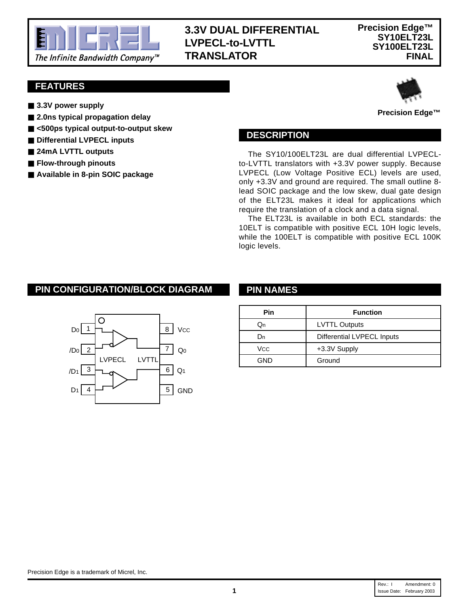

# **3.3V DUAL DIFFERENTIAL LVPECL-to-LVTTL TRANSLATOR**

### **FEATURES**

- 3.3V power supply
- 2.0ns typical propagation delay
- <500ps typical output-to-output skew
- Differential LVPECL inputs
- 24mA LVTTL outputs
- **Flow-through pinouts**
- **Available in 8-pin SOIC package**



**Precision Edge™**

#### **DESCRIPTION**

The SY10/100ELT23L are dual differential LVPECLto-LVTTL translators with +3.3V power supply. Because LVPECL (Low Voltage Positive ECL) levels are used, only +3.3V and ground are required. The small outline 8 lead SOIC package and the low skew, dual gate design of the ELT23L makes it ideal for applications which require the translation of a clock and a data signal.

The ELT23L is available in both ECL standards: the 10ELT is compatible with positive ECL 10H logic levels, while the 100ELT is compatible with positive ECL 100K logic levels.

## **PIN CONFIGURATION/BLOCK DIAGRAM PIN NAMES**



| Pin | <b>Function</b>            |
|-----|----------------------------|
| Jn  | <b>LVTTL Outputs</b>       |
| 'Jn | Differential LVPECL Inputs |
| Vcc | +3.3V Supply               |
| GND | Ground                     |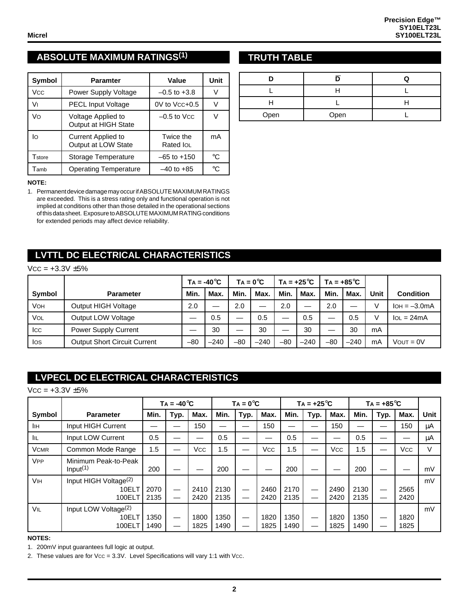## **ABSOLUTE MAXIMUM RATINGS(1)**

| <b>Symbol</b> | <b>Paramter</b>                                  | Value                  | Unit         |
|---------------|--------------------------------------------------|------------------------|--------------|
| Vcc           | Power Supply Voltage                             | $-0.5$ to $+3.8$       | V            |
| V١            | <b>PECL Input Voltage</b>                        | $0V$ to $Vcc+0.5$      |              |
| Vo            | Voltage Applied to<br>Output at HIGH State       | $-0.5$ to Vcc          |              |
| lo            | <b>Current Applied to</b><br>Output at LOW State | Twice the<br>Rated IOL | mA           |
| Tstore        | Storage Temperature                              | $-65$ to $+150$        | °C           |
| Tamb          | <b>Operating Temperature</b>                     | $-40$ to $+85$         | $^{\circ}$ C |

#### **NOTE:**

1. Permanent device damage may occur if ABSOLUTE MAXIMUM RATINGS are exceeded. This is a stress rating only and functional operation is not implied at conditions other than those detailed in the operational sections of this data sheet. Exposure to ABSOLUTE MAXIMUM RATlNG conditions for extended periods may affect device reliability.

## **LVTTL DC ELECTRICAL CHARACTERISTICS**

#### $Vcc = +3.3V \pm 5%$

|        |                                     | $TA = -40^{\circ}C$ |        | $TA = 0^{\circ}C$        |        | $TA = +25^{\circ}C$ |        | $Ta = +85^{\circ}C$ |        |      |                  |
|--------|-------------------------------------|---------------------|--------|--------------------------|--------|---------------------|--------|---------------------|--------|------|------------------|
| Symbol | <b>Parameter</b>                    | Min.                | Max.   | Min.                     | Max.   | Min.                | Max.   | Min.                | Max.   | Unit | <b>Condition</b> |
| Vон    | Output HIGH Voltage                 | 2.0                 |        | 2.0                      | —      | 2.0                 |        | 2.0                 |        |      | $IOH = -3.0mA$   |
| VOL    | Output LOW Voltage                  |                     | 0.5    | $\overline{\phantom{0}}$ | 0.5    |                     | 0.5    |                     | 0.5    |      | $IoL = 24mA$     |
| Icc    | <b>Power Supply Current</b>         |                     | 30     | —                        | 30     |                     | 30     |                     | 30     | mA   |                  |
| los    | <b>Output Short Circuit Current</b> | $-80$               | $-240$ | $-80$                    | $-240$ | $-80$               | $-240$ | $-80$               | $-240$ | mA   | $V$ OUT = $0V$   |

# **LVPECL DC ELECTRICAL CHARACTERISTICS**

 $VCC = +3.3V \pm 5%$ 

|                       |                                                      | $TA = -40^{\circ}C$ |      |              |              | $TA = 0^{\circ}C$ |              |              | $TA = +25^{\circ}C$ |              |              | $TA = +85^{\circ}C$ |              |      |
|-----------------------|------------------------------------------------------|---------------------|------|--------------|--------------|-------------------|--------------|--------------|---------------------|--------------|--------------|---------------------|--------------|------|
| Symbol                | <b>Parameter</b>                                     | Min.                | Typ. | Max.         | Min.         | Typ.              | Max.         | Min.         | Typ.                | Max.         | Min.         | Typ.                | Max.         | Unit |
| lін                   | Input HIGH Current                                   |                     |      | 150          |              |                   | 150          |              |                     | 150          |              |                     | 150          | μA   |
| <b>IIL</b>            | Input LOW Current                                    | 0.5                 |      |              | 0.5          |                   |              | 0.5          |                     |              | 0.5          |                     |              | μA   |
| <b>VCMR</b>           | Common Mode Range                                    | 1.5                 |      | Vcc          | 1.5          |                   | Vcc          | 1.5          |                     | <b>Vcc</b>   | 1.5          |                     | Vcc          | V    |
| <b>V<sub>PP</sub></b> | Minimum Peak-to-Peak<br>Input <sup>(1)</sup>         | 200                 |      |              | 200          |                   |              | 200          |                     |              | 200          |                     |              | mV   |
| <b>VIH</b>            | Input HIGH Voltage <sup>(2)</sup><br>10ELT<br>100ELT | 2070<br>2135        |      | 2410<br>2420 | 2130<br>2135 |                   | 2460<br>2420 | 2170<br>2135 |                     | 2490<br>2420 | 2130<br>2135 |                     | 2565<br>2420 | mV   |
| VIL                   | Input LOW Voltage <sup>(2)</sup><br>10ELT<br>100ELT  | 1350<br>1490        |      | 1800<br>1825 | 1350<br>1490 |                   | 1820<br>1825 | 1350<br>1490 |                     | 1820<br>1825 | 1350<br>1490 |                     | 1820<br>1825 | mV   |

#### **NOTES:**

1. 200mV input guarantees full logic at output.

2. These values are for  $Vcc = 3.3V$ . Level Specifications will vary 1:1 with Vcc.

## **TRUTH TABLE**

| Open | Open |  |
|------|------|--|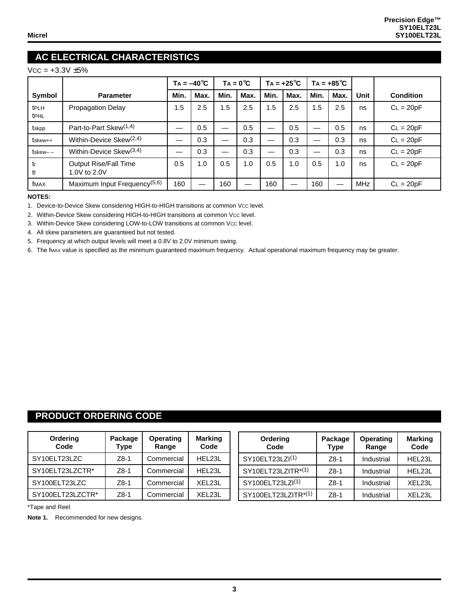# **AC ELECTRICAL CHARACTERISTICS**

#### $Vcc = +3.3V \pm 5%$

|               |                                          | $TA = -40^{\circ}C$ |      | $TA = 0^{\circ}C$ |      | $TA = +25^{\circ}C$ |      | $TA = +85^{\circ}C$ |      |             |                  |
|---------------|------------------------------------------|---------------------|------|-------------------|------|---------------------|------|---------------------|------|-------------|------------------|
| Symbol        | <b>Parameter</b>                         | Min.                | Max. | Min.              | Max. | Min.                | Max. | Min.                | Max. | <b>Unit</b> | <b>Condition</b> |
| tPLH<br>tPHL  | Propagation Delay                        | 1.5                 | 2.5  | 1.5               | 2.5  | .5                  | 2.5  | 1.5                 | 2.5  | ns          | $CL = 20pF$      |
| tskpp         | Part-to-Part Skew <sup>(1,4)</sup>       |                     | 0.5  | —                 | 0.5  | —                   | 0.5  |                     | 0.5  | ns          | $CL = 20pF$      |
| $ts$ kew $++$ | Within-Device Skew $(2,4)$               |                     | 0.3  | _                 | 0.3  |                     | 0.3  | —                   | 0.3  | ns          | $CL = 20pF$      |
| tskew– –      | Within-Device Skew $(3,4)$               |                     | 0.3  |                   | 0.3  |                     | 0.3  | —                   | 0.3  | ns          | $CL = 20pF$      |
| tr<br>tf      | Output Rise/Fall Time<br>1.0V to 2.0V    | 0.5                 | 1.0  | 0.5               | 1.0  | 0.5                 | 1.0  | 0.5                 | 1.0  | ns          | $CL = 20pF$      |
| fMAX          | Maximum Input Frequency <sup>(5,6)</sup> | 160                 |      | 160               |      | 160                 |      | 160                 |      | <b>MHz</b>  | $CL = 20pF$      |

#### **NOTES:**

1. Device-to-Device Skew considering HIGH-to-HIGH transitions at common Vcc level.

2. Within-Device Skew considering HIGH-to-HIGH transitions at common Vcc level.

3. Within-Device Skew considering LOW-to-LOW transitions at common Vcc level.

4. All skew parameters are guaranteed but not tested.

5. Frequency at which output levels will meet a 0.8V to 2.0V minimum swing.

6. The fmax value is specified as the minimum guaranteed maximum frequency. Actual operational maximum frequency may be greater.

#### **PRODUCT ORDERING CODE**

| Ordering<br>Code | Package<br>Type | <b>Operating</b><br>Range | <b>Marking</b><br>Code | Ordering<br>Code             | Package<br>Type | <b>Operating</b><br>Range | <b>Marking</b><br>Code |
|------------------|-----------------|---------------------------|------------------------|------------------------------|-----------------|---------------------------|------------------------|
| SY10ELT23LZC     | $Z8-1$          | Commercial                | HEL23L                 | SY10ELT23LZI <sup>(1)</sup>  | Z8-1            | Industrial                | HEL23L                 |
| SY10ELT23LZCTR*  | $Z8-1$          | Commercial                | HEL23L                 | SY10ELT23LZITR*(1)           | $Z8-1$          | Industrial                | HEL23L                 |
| SY100ELT23LZC    | $Z8-1$          | Commercial                | XEL23L                 | SY100ELT23LZI <sup>(1)</sup> | $Z8-1$          | Industrial                | XEL23L                 |
| SY100ELT23LZCTR* | $Z8-1$          | Commercial                | XEL23L                 | SY100ELT23LZITR*(1)          | $Z8-1$          | Industrial                | XEL <sub>23L</sub>     |

\*Tape and Reel

**Note 1.** Recommended for new designs.